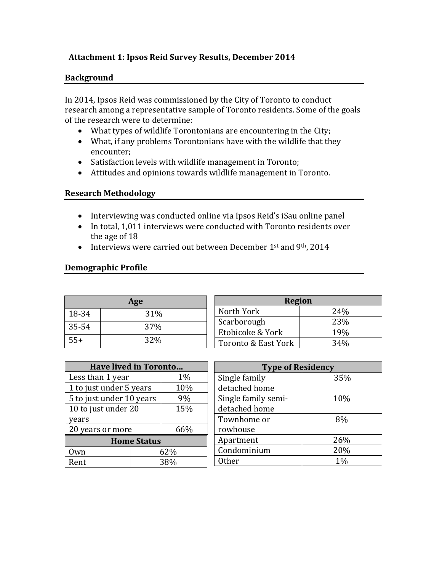#### **Attachment 1: Ipsos Reid Survey Results, December 2014**

#### **Background**

In 2014, Ipsos Reid was commissioned by the City of Toronto to conduct research among a representative sample of Toronto residents. Some of the goals of the research were to determine:

- What types of wildlife Torontonians are encountering in the City;
- What, if any problems Torontonians have with the wildlife that they encounter;
- Satisfaction levels with wildlife management in Toronto;
- Attitudes and opinions towards wildlife management in Toronto.

#### **Research Methodology**

- Interviewing was conducted online via Ipsos Reid's iSau online panel
- In total, 1,011 interviews were conducted with Toronto residents over the age of 18
- Interviews were carried out between December 1<sup>st</sup> and 9<sup>th</sup>, 2014

#### **Demographic Profile**

|       | Age |                       |
|-------|-----|-----------------------|
| 18-34 | 31% | Nc                    |
| 35-54 | 37% | Sc <sub>i</sub><br>Et |
| $55+$ | 32% | To                    |

| <b>Region</b>       |      |  |  |  |
|---------------------|------|--|--|--|
| North York          | 24%  |  |  |  |
| Scarborough         | 23\% |  |  |  |
| Etobicoke & York    | 19%  |  |  |  |
| Toronto & East York | 34%  |  |  |  |

| <b>Have lived in Toronto</b> |       |     |  |  |
|------------------------------|-------|-----|--|--|
| Less than 1 year             | $1\%$ |     |  |  |
| 1 to just under 5 years      | 10%   |     |  |  |
| 5 to just under 10 years     | 9%    |     |  |  |
| 10 to just under 20          | 15%   |     |  |  |
| years                        |       |     |  |  |
| 20 years or more             |       | 66% |  |  |
| <b>Home Status</b>           |       |     |  |  |
| Own                          | 62%   |     |  |  |
| Rent                         | 38%   |     |  |  |

| <b>Type of Residency</b> |     |  |  |
|--------------------------|-----|--|--|
| Single family            | 35% |  |  |
| detached home            |     |  |  |
| Single family semi-      | 10% |  |  |
| detached home            |     |  |  |
| Townhome or              | 8%  |  |  |
| rowhouse                 |     |  |  |
| Apartment                | 26% |  |  |
| Condominium              | 20% |  |  |
| Other                    | 1%  |  |  |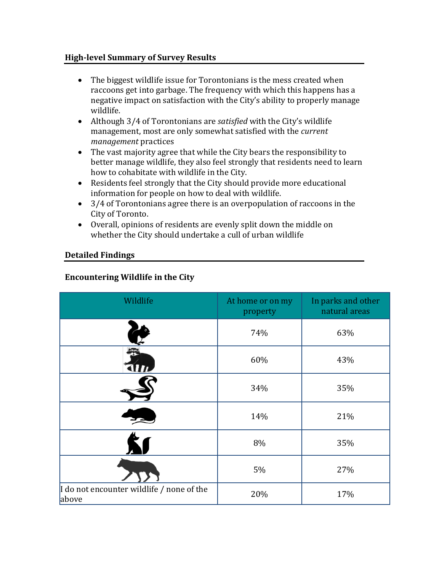#### **High-level Summary of Survey Results**

- The biggest wildlife issue for Torontonians is the mess created when raccoons get into garbage. The frequency with which this happens has a negative impact on satisfaction with the City's ability to properly manage wildlife.
- Although 3/4 of Torontonians are *satisfied* with the City's wildlife management, most are only somewhat satisfied with the *current management* practices
- The vast majority agree that while the City bears the responsibility to better manage wildlife, they also feel strongly that residents need to learn how to cohabitate with wildlife in the City.
- Residents feel strongly that the City should provide more educational information for people on how to deal with wildlife.
- 3/4 of Torontonians agree there is an overpopulation of raccoons in the City of Toronto.
- Overall, opinions of residents are evenly split down the middle on whether the City should undertake a cull of urban wildlife

# **Detailed Findings**

# **Encountering Wildlife in the City**

| Wildlife                                           | At home or on my<br>property | In parks and other<br>natural areas |
|----------------------------------------------------|------------------------------|-------------------------------------|
|                                                    | 74%                          | 63%                                 |
|                                                    | 60%                          | 43%                                 |
|                                                    | 34%                          | 35%                                 |
|                                                    | 14%                          | 21%                                 |
|                                                    | 8%                           | 35%                                 |
|                                                    | 5%                           | 27%                                 |
| I do not encounter wildlife / none of the<br>above | 20%                          | 17%                                 |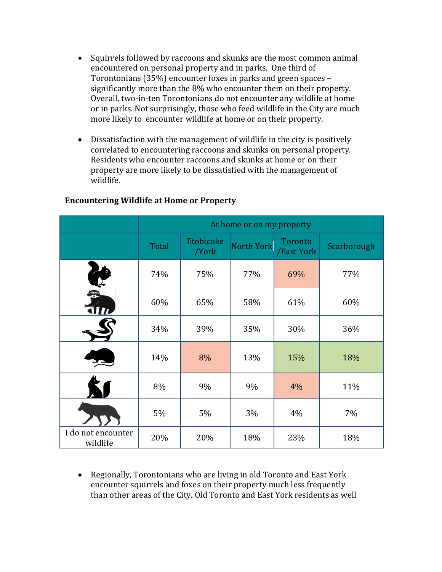- Squirrels followed by raccoons and skunks are the most common animal encountered on personal property and in parks. One third of Torontonians (35%) encounter foxes in parks and green spaces – significantly more than the 8% who encounter them on their property. Overall, two-in-ten Torontonians do not encounter any wildlife at home or in parks. Not surprisingly, those who feed wildlife in the City are much more likely to encounter wildlife at home or on their property.
- Dissatisfaction with the management of wildlife in the city is positively correlated to encountering raccoons and skunks on personal property. Residents who encounter raccoons and skunks at home or on their property are more likely to be dissatisfied with the management of wildlife.

|                                | At home or on my property |                    |            |                       |             |
|--------------------------------|---------------------------|--------------------|------------|-----------------------|-------------|
|                                | Total                     | Etobicoke<br>/York | North York | Toronto<br>/East York | Scarborough |
| $\boldsymbol{\ell}$            | 74%                       | 75%                | 77%        | 69%                   | 77%         |
|                                | 60%                       | 65%                | 58%        | 61%                   | 60%         |
|                                | 34%                       | 39%                | 35%        | 30%                   | 36%         |
|                                | 14%                       | 8%                 | 13%        | 15%                   | 18%         |
|                                | 8%                        | 9%                 | 9%         | 4%                    | 11%         |
|                                | 5%                        | 5%                 | 3%         | 4%                    | 7%          |
| I do not encounter<br>wildlife | 20%                       | 20%                | 18%        | 23%                   | 18%         |

# **Encountering Wildlife at Home or Property**

• Regionally, Torontonians who are living in old Toronto and East York encounter squirrels and foxes on their property much less frequently than other areas of the City. Old Toronto and East York residents as well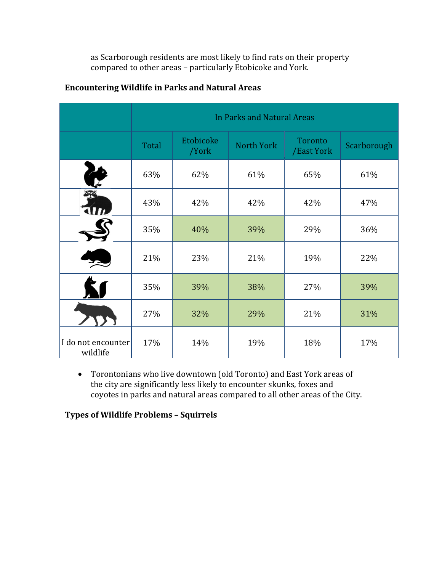as Scarborough residents are most likely to find rats on their property compared to other areas – particularly Etobicoke and York.

|                                | In Parks and Natural Areas |                    |            |                       |             |
|--------------------------------|----------------------------|--------------------|------------|-----------------------|-------------|
|                                | Total                      | Etobicoke<br>/York | North York | Toronto<br>/East York | Scarborough |
|                                | 63%                        | 62%                | 61%        | 65%                   | 61%         |
|                                | 43%                        | 42%                | 42%        | 42%                   | 47%         |
|                                | 35%                        | 40%                | 39%        | 29%                   | 36%         |
|                                | 21%                        | 23%                | 21%        | 19%                   | 22%         |
|                                | 35%                        | 39%                | 38%        | 27%                   | 39%         |
|                                | 27%                        | 32%                | 29%        | 21%                   | 31%         |
| I do not encounter<br>wildlife | 17%                        | 14%                | 19%        | 18%                   | 17%         |

# **Encountering Wildlife in Parks and Natural Areas**

• Torontonians who live downtown (old Toronto) and East York areas of the city are significantly less likely to encounter skunks, foxes and coyotes in parks and natural areas compared to all other areas of the City.

**Types of Wildlife Problems – Squirrels**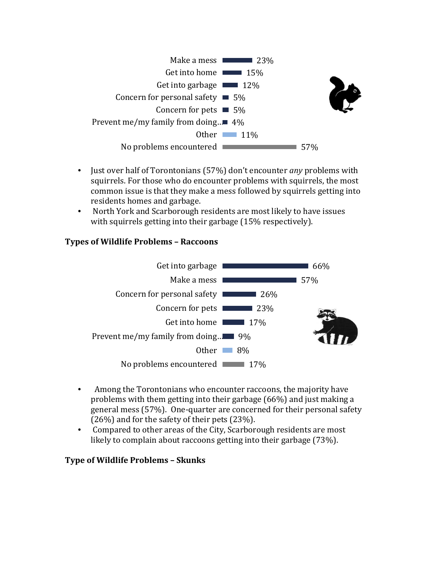

- Just over half of Torontonians (57%) don't encounter *any* problems with squirrels. For those who do encounter problems with squirrels, the most common issue is that they make a mess followed by squirrels getting into residents homes and garbage.
- North York and Scarborough residents are most likely to have issues with squirrels getting into their garbage (15% respectively).

#### **Types of Wildlife Problems – Raccoons**



- Among the Torontonians who encounter raccoons, the majority have problems with them getting into their garbage (66%) and just making a general mess (57%). One-quarter are concerned for their personal safety (26%) and for the safety of their pets (23%). •
- Compared to other areas of the City, Scarborough residents are most likely to complain about raccoons getting into their garbage (73%).

#### **Type of Wildlife Problems – Skunks**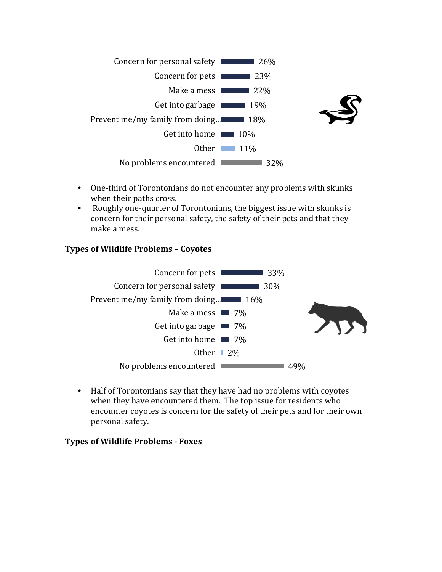

- One-third of Torontonians do not encounter any problems with skunks when their paths cross.
- Roughly one-quarter of Torontonians, the biggest issue with skunks is concern for their personal safety, the safety of their pets and that they make a mess.

#### **Types of Wildlife Problems – Coyotes**



• Half of Torontonians say that they have had no problems with coyotes when they have encountered them. The top issue for residents who encounter coyotes is concern for the safety of their pets and for their own personal safety.

#### **Types of Wildlife Problems - Foxes**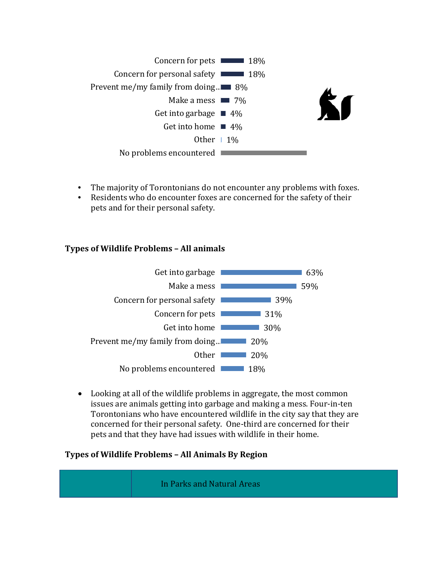

- The majority of Torontonians do not encounter any problems with foxes.
- Residents who do encounter foxes are concerned for the safety of their pets and for their personal safety.

# **Types of Wildlife Problems – All animals**



Looking at all of the wildlife problems in aggregate, the most common • issues are animals getting into garbage and making a mess. Four-in-ten Torontonians who have encountered wildlife in the city say that they are concerned for their personal safety. One-third are concerned for their pets and that they have had issues with wildlife in their home.

# **Types of Wildlife Problems – All Animals By Region**

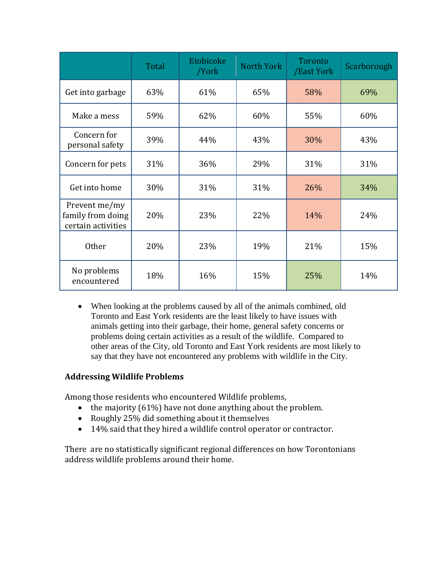|                                                          | Total | Etobicoke<br>/York | <b>North York</b> | Toronto<br>/East York | Scarborough |
|----------------------------------------------------------|-------|--------------------|-------------------|-----------------------|-------------|
| Get into garbage                                         | 63%   | 61%                | 65%               | 58%                   | 69%         |
| Make a mess                                              | 59%   | 62%                | 60%               | 55%                   | 60%         |
| Concern for<br>personal safety                           | 39%   | 44%                | 43%               | 30%                   | 43%         |
| Concern for pets                                         | 31%   | 36%                | 29%               | 31%                   | 31%         |
| Get into home                                            | 30%   | 31%                | 31%               | 26%                   | 34%         |
| Prevent me/my<br>family from doing<br>certain activities | 20%   | 23%                | 22%               | 14%                   | 24%         |
| <b>Other</b>                                             | 20%   | 23%                | 19%               | 21%                   | 15%         |
| No problems<br>encountered                               | 18%   | 16%                | 15%               | 25%                   | 14%         |

• When looking at the problems caused by all of the animals combined, old Toronto and East York residents are the least likely to have issues with animals getting into their garbage, their home, general safety concerns or problems doing certain activities as a result of the wildlife. Compared to other areas of the City, old Toronto and East York residents are most likely to say that they have not encountered any problems with wildlife in the City.

# **Addressing Wildlife Problems**

Among those residents who encountered Wildlife problems,

- the majority (61%) have not done anything about the problem.
- Roughly 25% did something about it themselves
- 14% said that they hired a wildlife control operator or contractor.

There are no statistically significant regional differences on how Torontonians address wildlife problems around their home.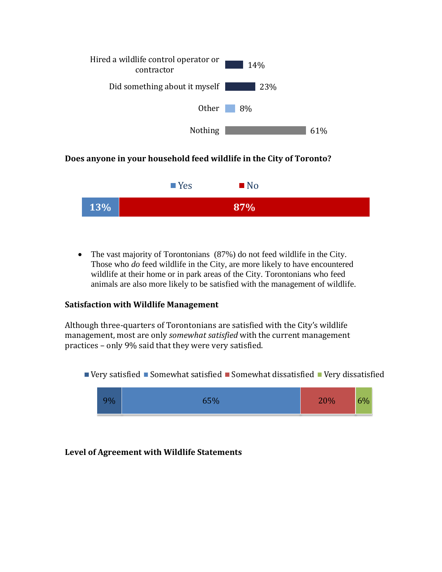

# **Does anyone in your household feed wildlife in the City of Toronto?**



• The vast majority of Torontonians (87%) do not feed wildlife in the City. Those who *do* feed wildlife in the City, are more likely to have encountered wildlife at their home or in park areas of the City. Torontonians who feed animals are also more likely to be satisfied with the management of wildlife.

#### **Satisfaction with Wildlife Management**

Although three-quarters of Torontonians are satisfied with the City's wildlife management, most are only *somewhat satisfied* with the current management practices – only 9% said that they were very satisfied.

Very satisfied Somewhat satisfied Somewhat dissatisfied Very dissatisfied



# **Level of Agreement with Wildlife Statements**